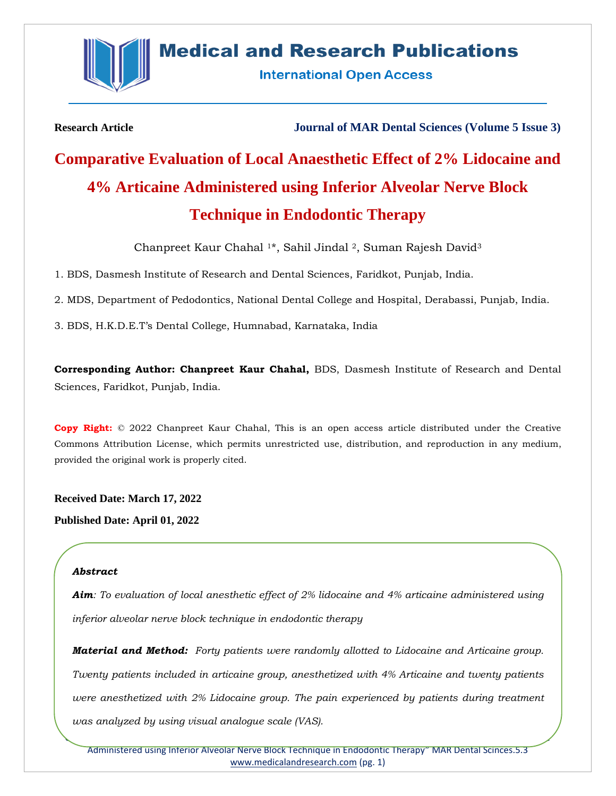

# **Medical and Research Publications**

**International Open Access** 

**Research Article Journal of MAR Dental Sciences (Volume 5 Issue 3)**

# **Comparative Evaluation of Local Anaesthetic Effect of 2% Lidocaine and 4% Articaine Administered using Inferior Alveolar Nerve Block Technique in Endodontic Therapy**

Chanpreet Kaur Chahal <sup>1</sup>\*, Sahil Jindal <sup>2</sup>, Suman Rajesh David<sup>3</sup>

1. BDS, Dasmesh Institute of Research and Dental Sciences, Faridkot, Punjab, India.

2. MDS, Department of Pedodontics, National Dental College and Hospital, Derabassi, Punjab, India.

3. BDS, H.K.D.E.T's Dental College, Humnabad, Karnataka, India

**Corresponding Author: Chanpreet Kaur Chahal,** BDS, Dasmesh Institute of Research and Dental Sciences, Faridkot, Punjab, India.

**Copy Right:** © 2022 Chanpreet Kaur Chahal, This is an open access article distributed under the Creative Commons Attribution License, which permits unrestricted use, distribution, and reproduction in any medium, provided the original work is properly cited.

**Received Date: March 17, 2022**

**Published Date: April 01, 2022**

# *Abstract*

*Aim: To evaluation of local anesthetic effect of 2% lidocaine and 4% articaine administered using inferior alveolar nerve block technique in endodontic therapy*

*Material and Method: Forty patients were randomly allotted to Lidocaine and Articaine group. Twenty patients included in articaine group, anesthetized with 4% Articaine and twenty patients were anesthetized with 2% Lidocaine group. The pain experienced by patients during treatment was analyzed by using visual analogue scale (VAS).*

Citation: Chanpreet Kaur Chahal "Comparative Evaluation of Local Anaesthetic Effect of 2% Lidocaine and 4% Articaine Administered using Inferior Alveolar Nerve Block Technique in Endodontic Therapy" MAR Dental Scinces.5.3 [www.medicalandresearch.com](http://www.medicalandresearch.com/) (pg. 1)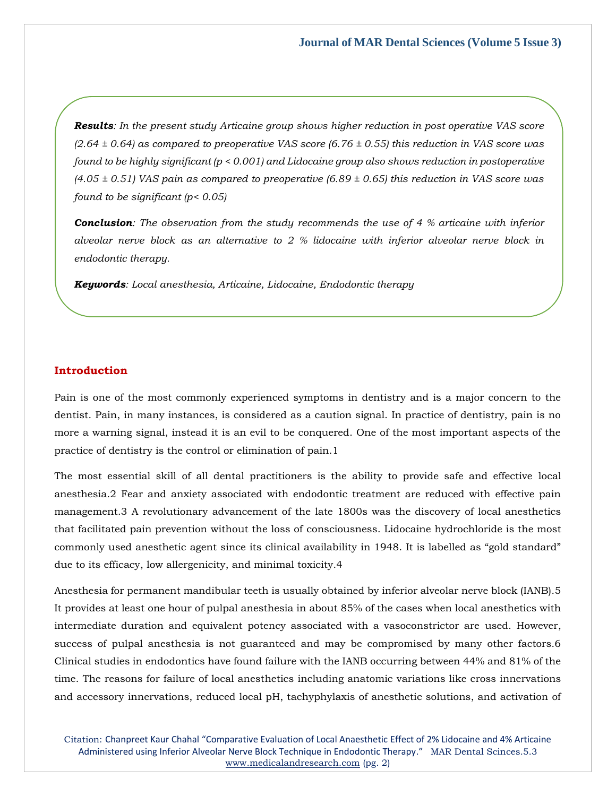*Results: In the present study Articaine group shows higher reduction in post operative VAS score (2.64 ± 0.64) as compared to preoperative VAS score (6.76 ± 0.55) this reduction in VAS score was found to be highly significant (p < 0.001) and Lidocaine group also shows reduction in postoperative (4.05 ± 0.51) VAS pain as compared to preoperative (6.89 ± 0.65) this reduction in VAS score was found to be significant (p< 0.05)*

*Conclusion: The observation from the study recommends the use of 4 % articaine with inferior alveolar nerve block as an alternative to 2 % lidocaine with inferior alveolar nerve block in endodontic therapy.*

*Keywords: Local anesthesia, Articaine, Lidocaine, Endodontic therapy*

# **Introduction**

Pain is one of the most commonly experienced symptoms in dentistry and is a major concern to the dentist. Pain, in many instances, is considered as a caution signal. In practice of dentistry, pain is no more a warning signal, instead it is an evil to be conquered. One of the most important aspects of the practice of dentistry is the control or elimination of pain.1

The most essential skill of all dental practitioners is the ability to provide safe and effective local anesthesia.2 Fear and anxiety associated with endodontic treatment are reduced with effective pain management.3 A revolutionary advancement of the late 1800s was the discovery of local anesthetics that facilitated pain prevention without the loss of consciousness. Lidocaine hydrochloride is the most commonly used anesthetic agent since its clinical availability in 1948. It is labelled as "gold standard" due to its efficacy, low allergenicity, and minimal toxicity.4

Anesthesia for permanent mandibular teeth is usually obtained by inferior alveolar nerve block (IANB).5 It provides at least one hour of pulpal anesthesia in about 85% of the cases when local anesthetics with intermediate duration and equivalent potency associated with a vasoconstrictor are used. However, success of pulpal anesthesia is not guaranteed and may be compromised by many other factors.6 Clinical studies in endodontics have found failure with the IANB occurring between 44% and 81% of the time. The reasons for failure of local anesthetics including anatomic variations like cross innervations and accessory innervations, reduced local pH, tachyphylaxis of anesthetic solutions, and activation of

Citation: Chanpreet Kaur Chahal "Comparative Evaluation of Local Anaesthetic Effect of 2% Lidocaine and 4% Articaine Administered using Inferior Alveolar Nerve Block Technique in Endodontic Therapy." MAR Dental Scinces.5.3 [www.medicalandresearch.com](http://www.medicalandresearch.com/) (pg. 2)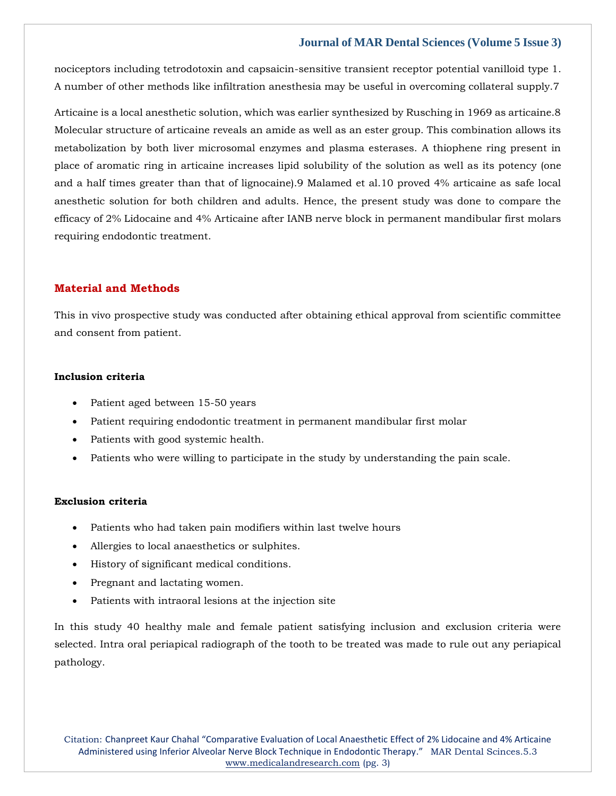# **Journal of MAR Dental Sciences (Volume 5 Issue 3)**

nociceptors including tetrodotoxin and capsaicin-sensitive transient receptor potential vanilloid type 1. A number of other methods like infiltration anesthesia may be useful in overcoming collateral supply.7

Articaine is a local anesthetic solution, which was earlier synthesized by Rusching in 1969 as articaine.8 Molecular structure of articaine reveals an amide as well as an ester group. This combination allows its metabolization by both liver microsomal enzymes and plasma esterases. A thiophene ring present in place of aromatic ring in articaine increases lipid solubility of the solution as well as its potency (one and a half times greater than that of lignocaine).9 Malamed et al.10 proved 4% articaine as safe local anesthetic solution for both children and adults. Hence, the present study was done to compare the efficacy of 2% Lidocaine and 4% Articaine after IANB nerve block in permanent mandibular first molars requiring endodontic treatment.

### **Material and Methods**

This in vivo prospective study was conducted after obtaining ethical approval from scientific committee and consent from patient.

#### **Inclusion criteria**

- Patient aged between 15-50 years
- Patient requiring endodontic treatment in permanent mandibular first molar
- Patients with good systemic health.
- Patients who were willing to participate in the study by understanding the pain scale.

#### **Exclusion criteria**

- Patients who had taken pain modifiers within last twelve hours
- Allergies to local anaesthetics or sulphites.
- History of significant medical conditions.
- Pregnant and lactating women.
- Patients with intraoral lesions at the injection site

In this study 40 healthy male and female patient satisfying inclusion and exclusion criteria were selected. Intra oral periapical radiograph of the tooth to be treated was made to rule out any periapical pathology.

Citation: Chanpreet Kaur Chahal "Comparative Evaluation of Local Anaesthetic Effect of 2% Lidocaine and 4% Articaine Administered using Inferior Alveolar Nerve Block Technique in Endodontic Therapy." MAR Dental Scinces.5.3 [www.medicalandresearch.com](http://www.medicalandresearch.com/) (pg. 3)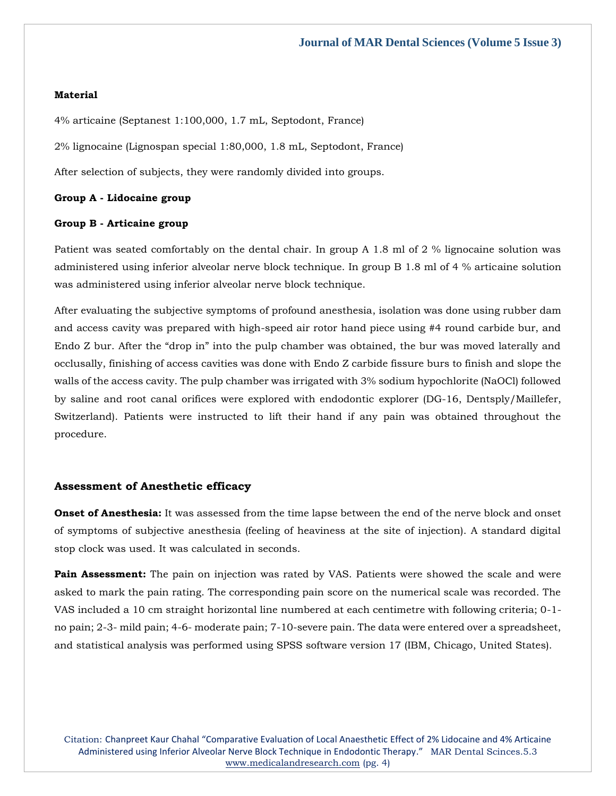#### **Material**

4% articaine (Septanest 1:100,000, 1.7 mL, Septodont, France)

2% lignocaine (Lignospan special 1:80,000, 1.8 mL, Septodont, France)

After selection of subjects, they were randomly divided into groups.

#### **Group A - Lidocaine group**

#### **Group B - Articaine group**

Patient was seated comfortably on the dental chair. In group A 1.8 ml of 2 % lignocaine solution was administered using inferior alveolar nerve block technique. In group B 1.8 ml of 4 % articaine solution was administered using inferior alveolar nerve block technique.

After evaluating the subjective symptoms of profound anesthesia, isolation was done using rubber dam and access cavity was prepared with high-speed air rotor hand piece using #4 round carbide bur, and Endo Z bur. After the "drop in" into the pulp chamber was obtained, the bur was moved laterally and occlusally, finishing of access cavities was done with Endo Z carbide fissure burs to finish and slope the walls of the access cavity. The pulp chamber was irrigated with 3% sodium hypochlorite (NaOCl) followed by saline and root canal orifices were explored with endodontic explorer (DG-16, Dentsply/Maillefer, Switzerland). Patients were instructed to lift their hand if any pain was obtained throughout the procedure.

#### **Assessment of Anesthetic efficacy**

**Onset of Anesthesia:** It was assessed from the time lapse between the end of the nerve block and onset of symptoms of subjective anesthesia (feeling of heaviness at the site of injection). A standard digital stop clock was used. It was calculated in seconds.

**Pain Assessment:** The pain on injection was rated by VAS. Patients were showed the scale and were asked to mark the pain rating. The corresponding pain score on the numerical scale was recorded. The VAS included a 10 cm straight horizontal line numbered at each centimetre with following criteria; 0-1 no pain; 2-3- mild pain; 4-6- moderate pain; 7-10-severe pain. The data were entered over a spreadsheet, and statistical analysis was performed using SPSS software version 17 (IBM, Chicago, United States).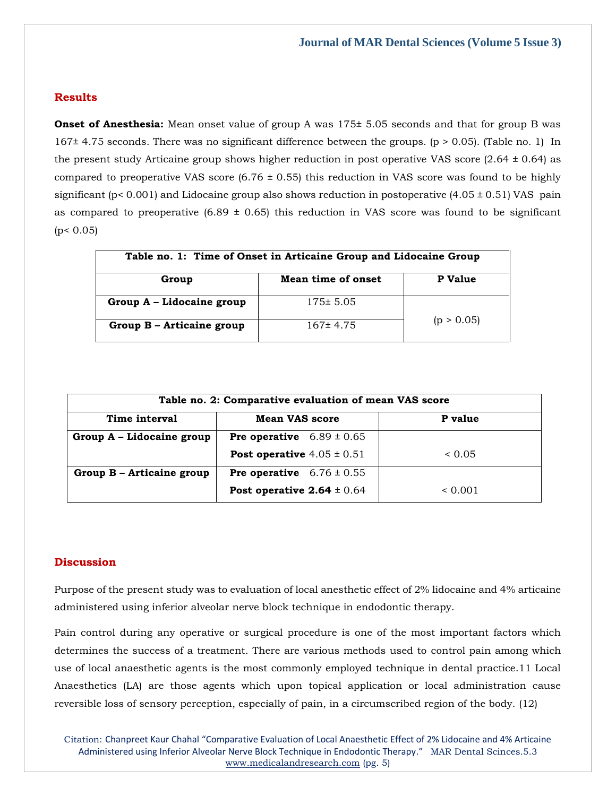# **Results**

**Onset of Anesthesia:** Mean onset value of group A was  $175\pm 5.05$  seconds and that for group B was 167± 4.75 seconds. There was no significant difference between the groups. (p > 0.05). (Table no. 1) In the present study Articaine group shows higher reduction in post operative VAS score  $(2.64 \pm 0.64)$  as compared to preoperative VAS score  $(6.76 \pm 0.55)$  this reduction in VAS score was found to be highly significant ( $p$ < 0.001) and Lidocaine group also shows reduction in postoperative (4.05  $\pm$  0.51) VAS pain as compared to preoperative  $(6.89 \pm 0.65)$  this reduction in VAS score was found to be significant  $(p < 0.05)$ 

| Table no. 1: Time of Onset in Articaine Group and Lidocaine Group |                    |            |  |
|-------------------------------------------------------------------|--------------------|------------|--|
| Group                                                             | Mean time of onset | P Value    |  |
| Group A - Lidocaine group                                         | $175 \pm 5.05$     |            |  |
| Group B - Articaine group                                         | $167 \pm 4.75$     | (p > 0.05) |  |

| Table no. 2: Comparative evaluation of mean VAS score |                                       |         |  |
|-------------------------------------------------------|---------------------------------------|---------|--|
| Time interval                                         | <b>Mean VAS score</b>                 | P value |  |
| Group A - Lidocaine group                             | <b>Pre operative</b> $6.89 \pm 0.65$  |         |  |
|                                                       | <b>Post operative</b> $4.05 \pm 0.51$ | < 0.05  |  |
| Group B - Articaine group                             | <b>Pre operative</b> $6.76 \pm 0.55$  |         |  |
|                                                       | Post operative $2.64 \pm 0.64$        | 0.001   |  |

#### **Discussion**

Purpose of the present study was to evaluation of local anesthetic effect of 2% lidocaine and 4% articaine administered using inferior alveolar nerve block technique in endodontic therapy.

Pain control during any operative or surgical procedure is one of the most important factors which determines the success of a treatment. There are various methods used to control pain among which use of local anaesthetic agents is the most commonly employed technique in dental practice.11 Local Anaesthetics (LA) are those agents which upon topical application or local administration cause reversible loss of sensory perception, especially of pain, in a circumscribed region of the body. (12)

Citation: Chanpreet Kaur Chahal "Comparative Evaluation of Local Anaesthetic Effect of 2% Lidocaine and 4% Articaine Administered using Inferior Alveolar Nerve Block Technique in Endodontic Therapy." MAR Dental Scinces.5.3 [www.medicalandresearch.com](http://www.medicalandresearch.com/) (pg. 5)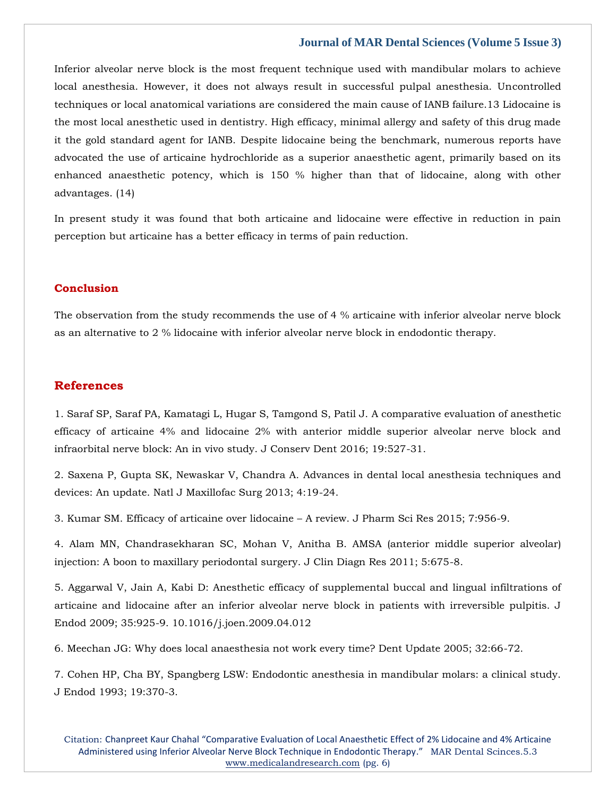#### **Journal of MAR Dental Sciences (Volume 5 Issue 3)**

Inferior alveolar nerve block is the most frequent technique used with mandibular molars to achieve local anesthesia. However, it does not always result in successful pulpal anesthesia. Uncontrolled techniques or local anatomical variations are considered the main cause of IANB failure.13 Lidocaine is the most local anesthetic used in dentistry. High efficacy, minimal allergy and safety of this drug made it the gold standard agent for IANB. Despite lidocaine being the benchmark, numerous reports have advocated the use of articaine hydrochloride as a superior anaesthetic agent, primarily based on its enhanced anaesthetic potency, which is 150 % higher than that of lidocaine, along with other advantages. (14)

In present study it was found that both articaine and lidocaine were effective in reduction in pain perception but articaine has a better efficacy in terms of pain reduction.

# **Conclusion**

The observation from the study recommends the use of 4 % articaine with inferior alveolar nerve block as an alternative to 2 % lidocaine with inferior alveolar nerve block in endodontic therapy.

# **References**

1. Saraf SP, Saraf PA, Kamatagi L, Hugar S, Tamgond S, Patil J. A comparative evaluation of anesthetic efficacy of articaine 4% and lidocaine 2% with anterior middle superior alveolar nerve block and infraorbital nerve block: An in vivo study. J Conserv Dent 2016; 19:527-31.

2. Saxena P, Gupta SK, Newaskar V, Chandra A. Advances in dental local anesthesia techniques and devices: An update. Natl J Maxillofac Surg 2013; 4:19-24.

3. Kumar SM. Efficacy of articaine over lidocaine – A review. J Pharm Sci Res 2015; 7:956-9.

4. Alam MN, Chandrasekharan SC, Mohan V, Anitha B. AMSA (anterior middle superior alveolar) injection: A boon to maxillary periodontal surgery. J Clin Diagn Res 2011; 5:675-8.

5. Aggarwal V, Jain A, Kabi D: Anesthetic efficacy of supplemental buccal and lingual infiltrations of articaine and lidocaine after an inferior alveolar nerve block in patients with irreversible pulpitis. J Endod 2009; 35:925-9. 10.1016/j.joen.2009.04.012

6. Meechan JG: Why does local anaesthesia not work every time? Dent Update 2005; 32:66-72.

7. Cohen HP, Cha BY, Spangberg LSW: Endodontic anesthesia in mandibular molars: a clinical study. J Endod 1993; 19:370-3.

Citation: Chanpreet Kaur Chahal "Comparative Evaluation of Local Anaesthetic Effect of 2% Lidocaine and 4% Articaine Administered using Inferior Alveolar Nerve Block Technique in Endodontic Therapy." MAR Dental Scinces.5.3 [www.medicalandresearch.com](http://www.medicalandresearch.com/) (pg. 6)